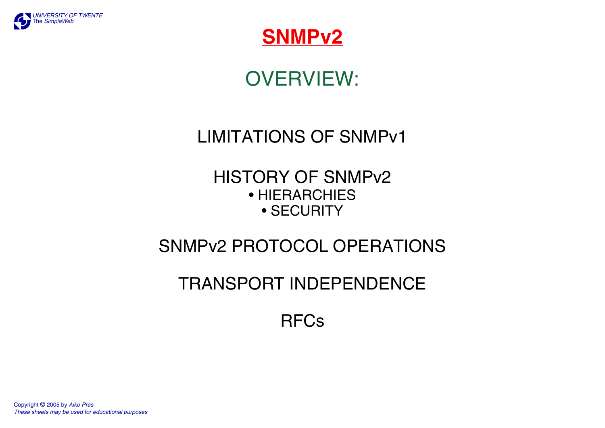



## OVERVIEW:

## LIMITATIONS OF SNMPv1

#### HISTORY OF SNMPv2 • HIERARCHIES • SECURITY

## SNMPv2 PROTOCOL OPERATIONS

## TRANSPORT INDEPENDENCE

## RFCs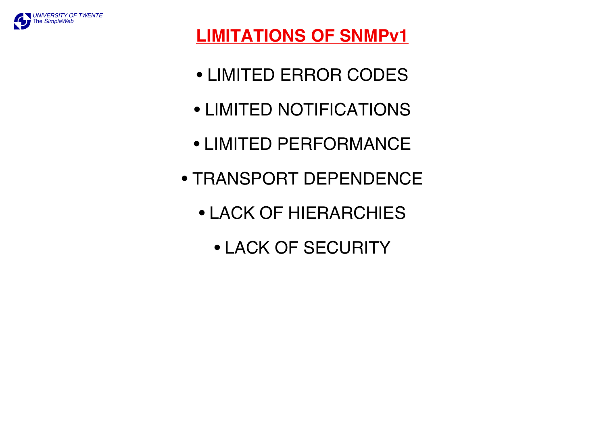

## **LIMITATIONS OF SNMPv1**

- LIMITED ERROR CODES
- LIMITED NOTIFICATIONS
- LIMITED PERFORMANCE
- TRANSPORT DEPENDENCE
	- LACK OF HIERARCHIES
		- LACK OF SECURITY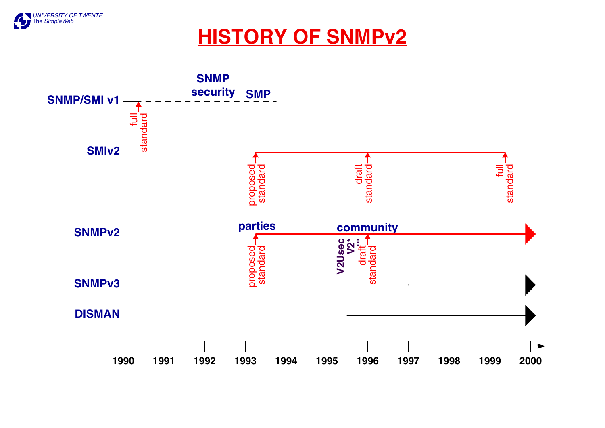

## **HISTORY OF SNMPv2**

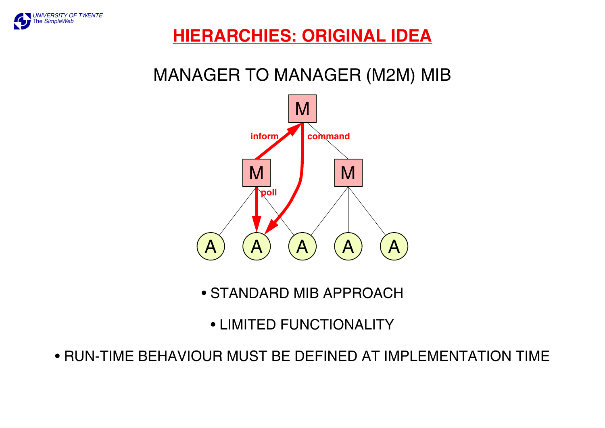

## **HIERARCHIES: ORIGINAL IDEA**

## MANAGER TO MANAGER (M2M) MIB



• STANDARD MIB APPROACH

• LIMITED FUNCTIONALITY

• RUN-TIME BEHAVIOUR MUST BE DEFINED AT IMPLEMENTATION TIME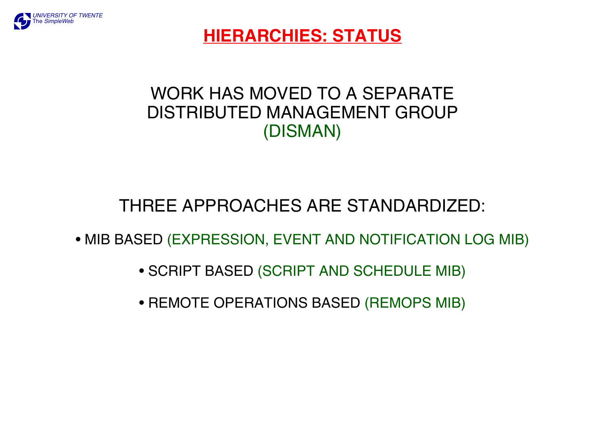

### **HIERARCHIES: STATUS**

## WORK HAS MOVED TO A SEPARATE DISTRIBUTED MANAGEMENT GROUP (DISMAN)

## THREE APPROACHES ARE STANDARDIZED:

• MIB BASED (EXPRESSION, EVENT AND NOTIFICATION LOG MIB)

- SCRIPT BASED (SCRIPT AND SCHEDULE MIB)
- REMOTE OPERATIONS BASED (REMOPS MIB)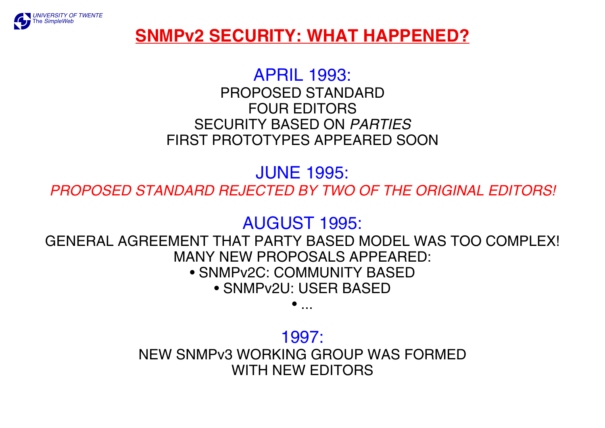

### **SNMPv2 SECURITY: WHAT HAPPENED?**

#### APRIL 1993:

PROPOSED STANDARD FOUR EDITORS SECURITY BASED ON *PARTIES* FIRST PROTOTYPES APPEARED SOON

JUNE 1995:

*PROPOSED STANDARD REJECTED BY TWO OF THE ORIGINAL EDITORS!*

### AUGUST 1995:

GENERAL AGREEMENT THAT PARTY BASED MODEL WAS TOO COMPLEX! MANY NEW PROPOSALS APPEARED: • SNMPv2C: COMMUNITY BASED

• SNMPv2U: USER BASED

• ...

#### 1997:

NEW SNMPv3 WORKING GROUP WAS FORMED WITH NEW EDITORS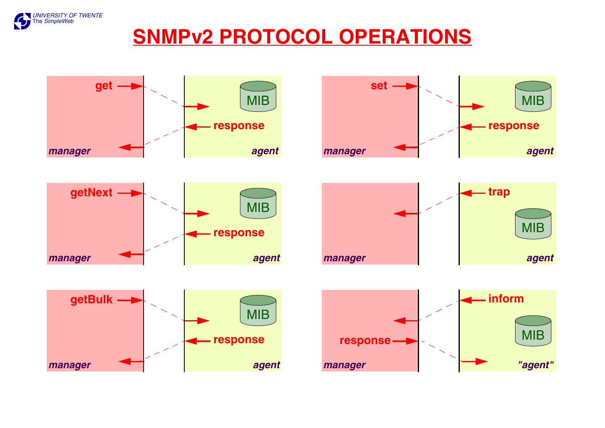

## **SNMPv2 PROTOCOL OPERATIONS**

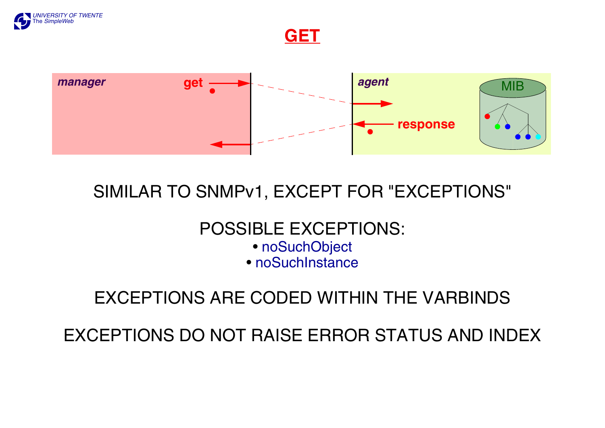

**GET**



## SIMILAR TO SNMPv1, EXCEPT FOR "EXCEPTIONS"

## POSSIBLE EXCEPTIONS:

- noSuchObject
- noSuchInstance

## EXCEPTIONS ARE CODED WITHIN THE VARBINDS

EXCEPTIONS DO NOT RAISE ERROR STATUS AND INDEX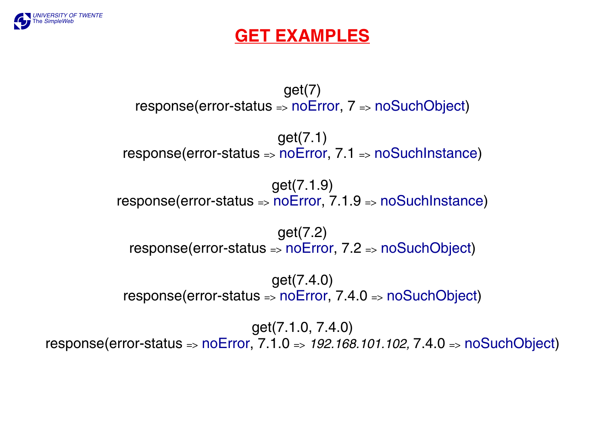

#### **GET EXAMPLES**

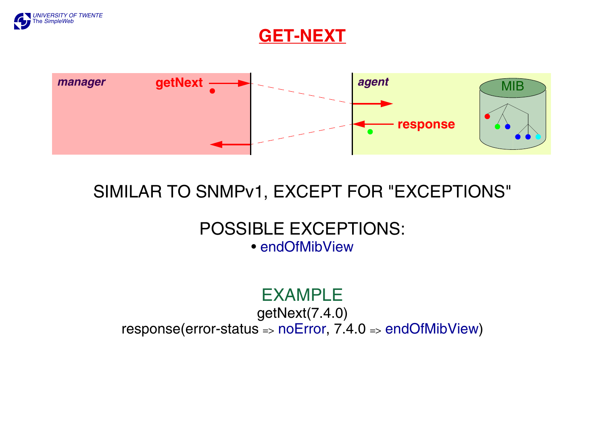

#### **GET-NEXT**



## SIMILAR TO SNMPv1, EXCEPT FOR "EXCEPTIONS"

#### POSSIBLE EXCEPTIONS: • endOfMibView

## EXAMPLE

#### getNext(7.4.0) response(error-status => noError,  $7.4.0$  => endOfMibView)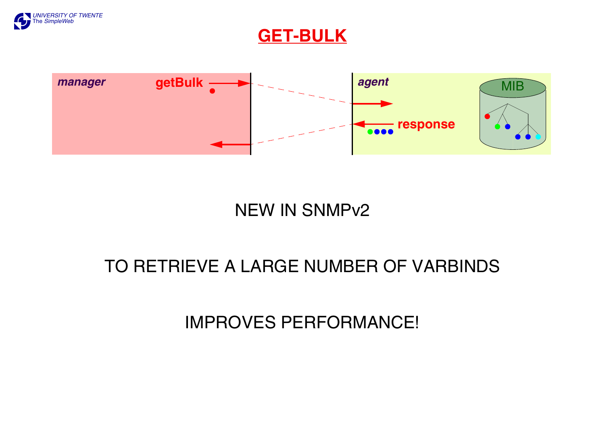

#### **GET-BULK**



## NEW IN SNMPv2

## TO RETRIEVE A LARGE NUMBER OF VARBINDS

## IMPROVES PERFORMANCE!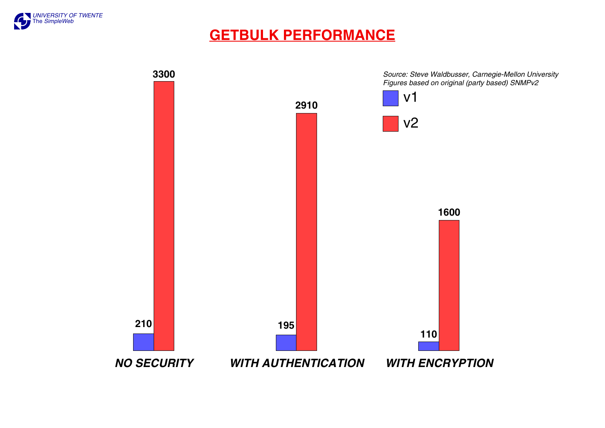

#### **GETBULK PERFORMANCE**

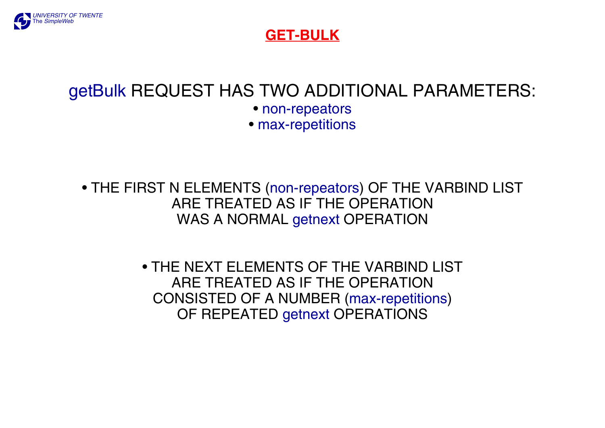

#### **GET-BULK**

### getBulk REQUEST HAS TWO ADDITIONAL PARAMETERS:

• non-repeators

• max-repetitions

• THE FIRST N ELEMENTS (non-repeators) OF THE VARBIND LIST ARE TREATED AS IF THE OPERATION WAS A NORMAL getnext OPERATION

> • THE NEXT ELEMENTS OF THE VARBIND LIST ARE TREATED AS IF THE OPERATION CONSISTED OF A NUMBER (max-repetitions) OF REPEATED getnext OPERATIONS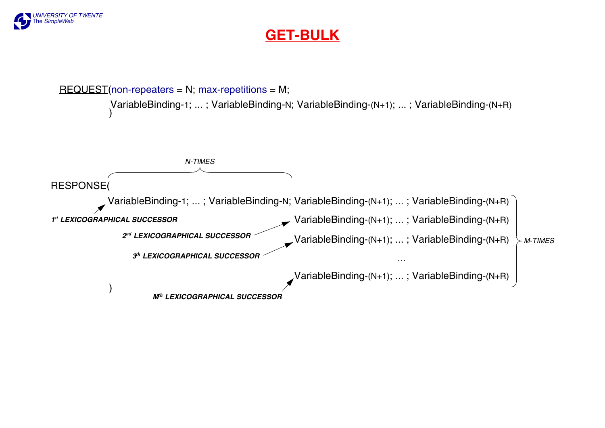

#### **GET-BULK**

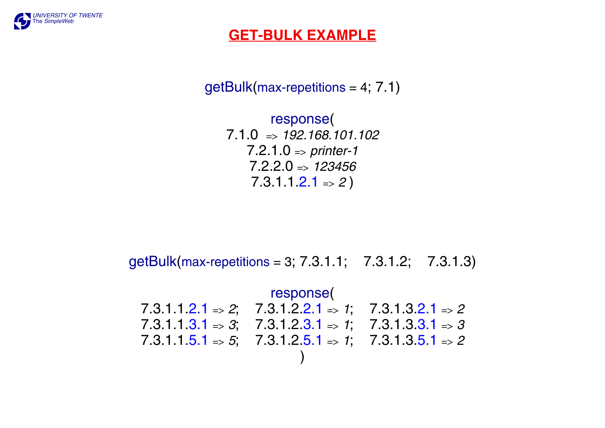

#### **GET-BULK EXAMPLE**

 $getBulk(max-repetitions = 4; 7.1)$ 

response( 7.1.0 => *192.168.101.102* 7.2.1.0 => *printer-1* 7.2.2.0 => *123456* 7.3.1.1.2.1 => *2* )

getBulk(max-repetitions = 3; 7.3.1.1; 7.3.1.2; 7.3.1.3)

response( 7.3.1.1.2.1 => *2*; 7.3.1.2.2.1 => *1*; 7.3.1.3.2.1 => *2* 7.3.1.1.3.1 => *3*; 7.3.1.2.3.1 => *1*; 7.3.1.3.3.1 => *3* 7.3.1.1.5.1 => *5*; 7.3.1.2.5.1 => *1*; 7.3.1.3.5.1 => *2*  )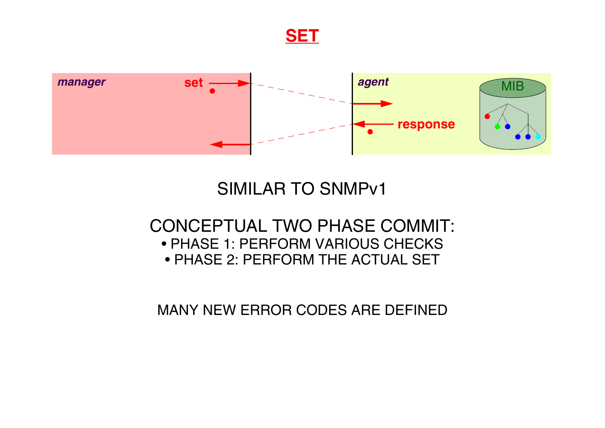**SET**



## SIMILAR TO SNMPv1

#### CONCEPTUAL TWO PHASE COMMIT: • PHASE 1: PERFORM VARIOUS CHECKS • PHASE 2: PERFORM THE ACTUAL SET

MANY NEW ERROR CODES ARE DEFINED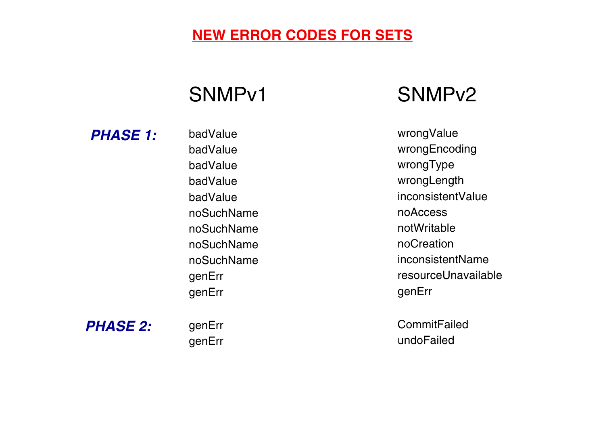#### **NEW ERROR CODES FOR SETS**

## SNMPv1 SNMPv2

*PHASE 1:*

badValue badValue badValue badValue badValue noSuchName noSuchName noSuchName noSuchName genErr genErr

wrongValue wrongEncoding wrongType wrongLength inconsistentValue noAccess notWritable noCreation inconsistentName resourceUnavailable genErr

**CommitFailed** undoFailed

*PHASE 2:*

genErr genErr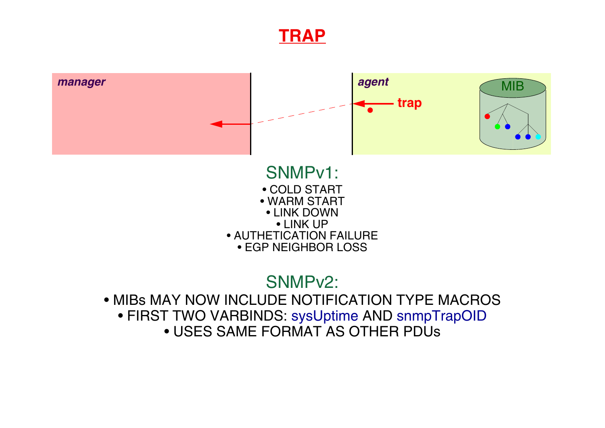#### **TRAP**



• FIRST TWO VARBINDS: sysUptime AND snmpTrapOID • USES SAME FORMAT AS OTHER PDUs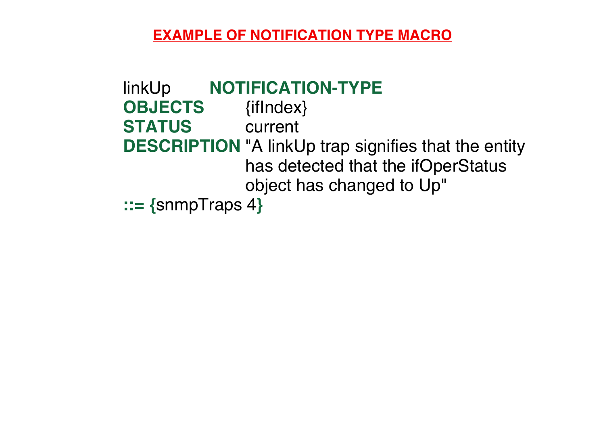#### **EXAMPLE OF NOTIFICATION TYPE MACRO**

```
linkUp NOTIFICATION-TYPE
OBJECTS {ifIndex}
STATUS current
DESCRIPTION "A linkUp trap signifies that the entity
             has detected that the ifOperStatus
             object has changed to Up"
::= {snmpTraps 4}
```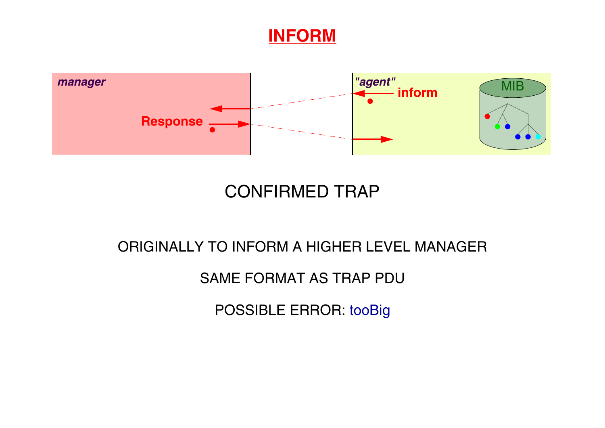#### **INFORM**



## CONFIRMED TRAP

#### ORIGINALLY TO INFORM A HIGHER LEVEL MANAGER

#### SAME FORMAT AS TRAP PDU

POSSIBLE ERROR: tooBig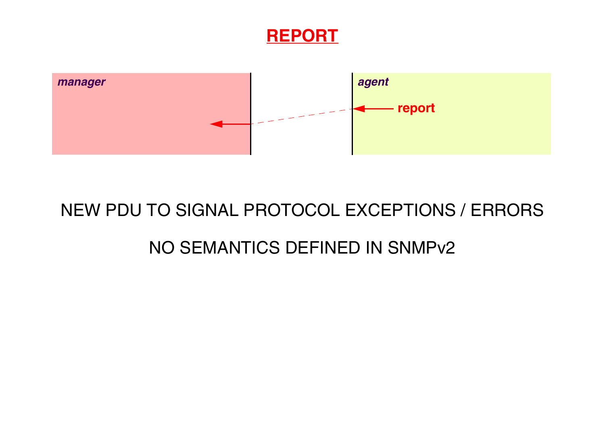



# NEW PDU TO SIGNAL PROTOCOL EXCEPTIONS / ERRORS

## NO SEMANTICS DEFINED IN SNMPv2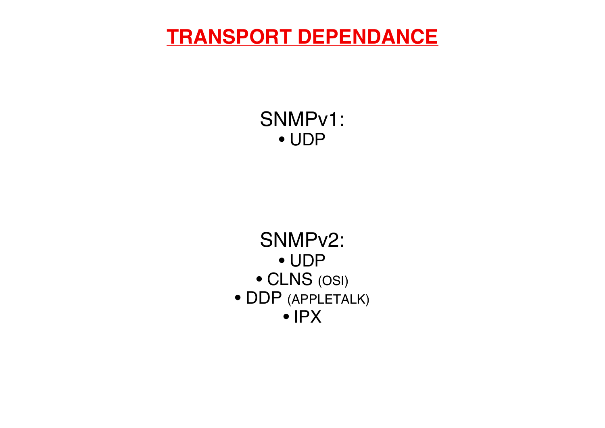## **TRANSPORT DEPENDANCE**

SNMPv1: • UDP

SNMPv2: • UDP • CLNS (OSI) • DDP (APPLETALK) • IPX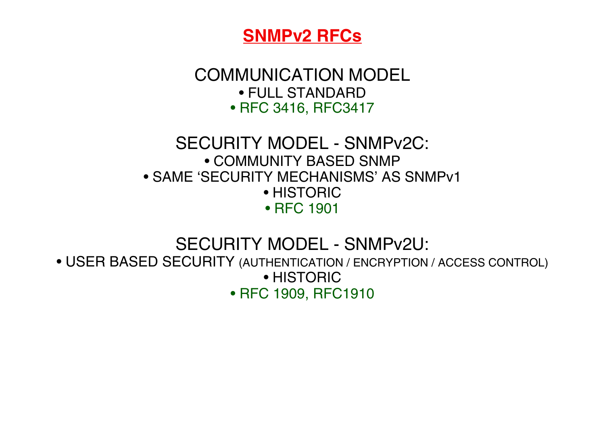![](_page_22_Picture_0.jpeg)

COMMUNICATION MODEL • FULL STANDARD • RFC 3416, RFC3417

#### SECURITY MODEL - SNMPv2C: • COMMUNITY BASED SNMP • SAME 'SECURITY MECHANISMS' AS SNMPv1 • HISTORIC • RFC 1901

SECURITY MODEL - SNMPv2U:

• USER BASED SECURITY (AUTHENTICATION / ENCRYPTION / ACCESS CONTROL) • HISTORIC • RFC 1909, RFC1910